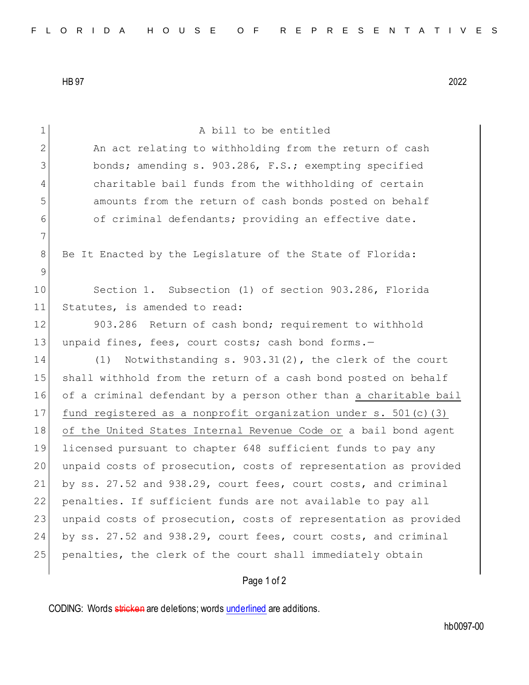HB 97 2022

1 A bill to be entitled 2 An act relating to withholding from the return of cash 3 bonds; amending s. 903.286, F.S.; exempting specified 4 charitable bail funds from the withholding of certain 5 amounts from the return of cash bonds posted on behalf 6 of criminal defendants; providing an effective date. 7 8 Be It Enacted by the Legislature of the State of Florida: 9 10 Section 1. Subsection (1) of section 903.286, Florida 11 Statutes, is amended to read: 12 903.286 Return of cash bond; requirement to withhold 13 unpaid fines, fees, court costs; cash bond forms.-14 (1) Notwithstanding s. 903.31(2), the clerk of the court 15 shall withhold from the return of a cash bond posted on behalf 16 of a criminal defendant by a person other than a charitable bail 17 fund registered as a nonprofit organization under s. 501(c)(3) 18 of the United States Internal Revenue Code or a bail bond agent 19 licensed pursuant to chapter 648 sufficient funds to pay any 20 | unpaid costs of prosecution, costs of representation as provided 21 by ss. 27.52 and 938.29, court fees, court costs, and criminal 22 penalties. If sufficient funds are not available to pay all 23 unpaid costs of prosecution, costs of representation as provided 24 by ss. 27.52 and 938.29, court fees, court costs, and criminal 25 penalties, the clerk of the court shall immediately obtain

## Page 1 of 2

CODING: Words stricken are deletions; words underlined are additions.